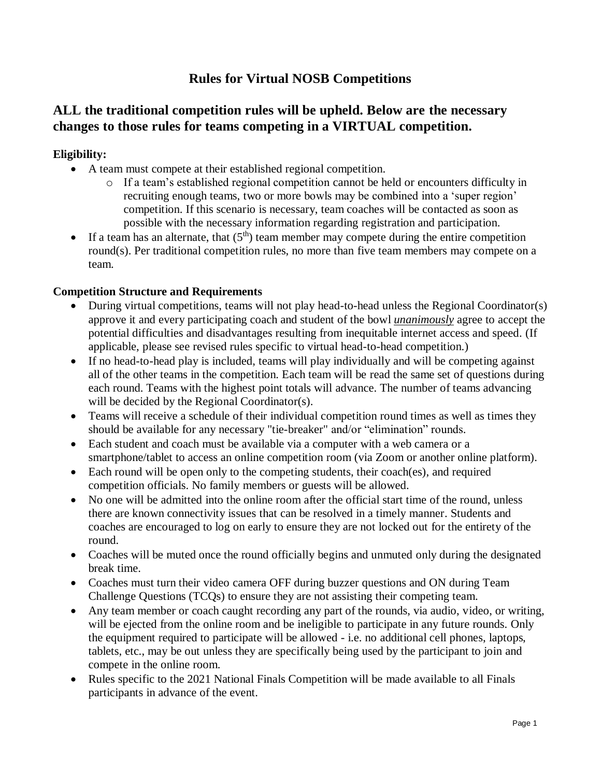# **Rules for Virtual NOSB Competitions**

## **ALL the traditional competition rules will be upheld. Below are the necessary changes to those rules for teams competing in a VIRTUAL competition.**

## **Eligibility:**

- A team must compete at their established regional competition.
	- o If a team's established regional competition cannot be held or encounters difficulty in recruiting enough teams, two or more bowls may be combined into a 'super region' competition. If this scenario is necessary, team coaches will be contacted as soon as possible with the necessary information regarding registration and participation.
- If a team has an alternate, that  $(5<sup>th</sup>)$  team member may compete during the entire competition round(s). Per traditional competition rules, no more than five team members may compete on a team.

## **Competition Structure and Requirements**

- During virtual competitions, teams will not play head-to-head unless the Regional Coordinator(s) approve it and every participating coach and student of the bowl *unanimously* agree to accept the potential difficulties and disadvantages resulting from inequitable internet access and speed. (If applicable, please see revised rules specific to virtual head-to-head competition.)
- If no head-to-head play is included, teams will play individually and will be competing against all of the other teams in the competition. Each team will be read the same set of questions during each round. Teams with the highest point totals will advance. The number of teams advancing will be decided by the Regional Coordinator(s).
- Teams will receive a schedule of their individual competition round times as well as times they should be available for any necessary "tie-breaker" and/or "elimination" rounds.
- Each student and coach must be available via a computer with a web camera or a smartphone/tablet to access an online competition room (via Zoom or another online platform).
- Each round will be open only to the competing students, their coach(es), and required competition officials. No family members or guests will be allowed.
- No one will be admitted into the online room after the official start time of the round, unless there are known connectivity issues that can be resolved in a timely manner. Students and coaches are encouraged to log on early to ensure they are not locked out for the entirety of the round.
- Coaches will be muted once the round officially begins and unmuted only during the designated break time.
- Coaches must turn their video camera OFF during buzzer questions and ON during Team Challenge Questions (TCQs) to ensure they are not assisting their competing team.
- Any team member or coach caught recording any part of the rounds, via audio, video, or writing, will be ejected from the online room and be ineligible to participate in any future rounds. Only the equipment required to participate will be allowed - i.e. no additional cell phones, laptops, tablets, etc., may be out unless they are specifically being used by the participant to join and compete in the online room.
- Rules specific to the 2021 National Finals Competition will be made available to all Finals participants in advance of the event.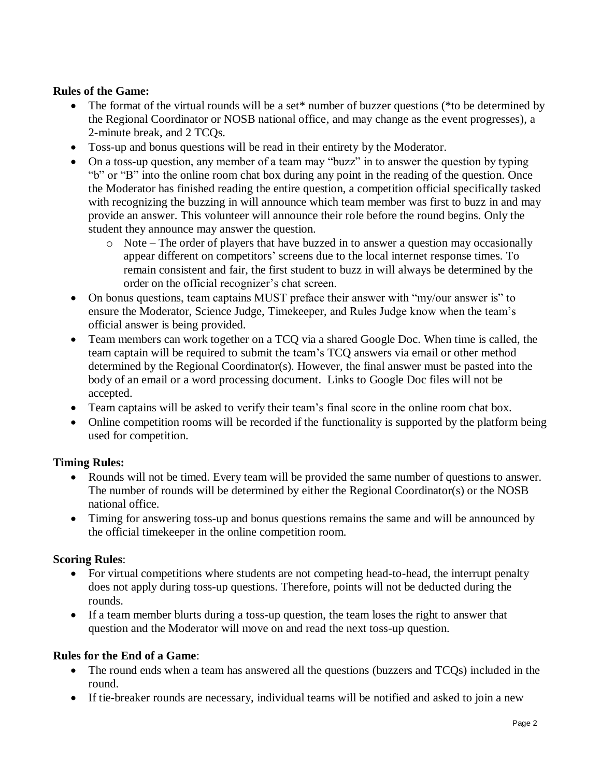## **Rules of the Game:**

- The format of the virtual rounds will be a set<sup>\*</sup> number of buzzer questions (\*to be determined by the Regional Coordinator or NOSB national office, and may change as the event progresses), a 2-minute break, and 2 TCQs.
- Toss-up and bonus questions will be read in their entirety by the Moderator.
- On a toss-up question, any member of a team may "buzz" in to answer the question by typing "b" or "B" into the online room chat box during any point in the reading of the question. Once the Moderator has finished reading the entire question, a competition official specifically tasked with recognizing the buzzing in will announce which team member was first to buzz in and may provide an answer. This volunteer will announce their role before the round begins. Only the student they announce may answer the question.
	- o Note The order of players that have buzzed in to answer a question may occasionally appear different on competitors' screens due to the local internet response times. To remain consistent and fair, the first student to buzz in will always be determined by the order on the official recognizer's chat screen.
- On bonus questions, team captains MUST preface their answer with "my/our answer is" to ensure the Moderator, Science Judge, Timekeeper, and Rules Judge know when the team's official answer is being provided.
- Team members can work together on a TCQ via a shared Google Doc. When time is called, the team captain will be required to submit the team's TCQ answers via email or other method determined by the Regional Coordinator(s). However, the final answer must be pasted into the body of an email or a word processing document. Links to Google Doc files will not be accepted.
- Team captains will be asked to verify their team's final score in the online room chat box.
- Online competition rooms will be recorded if the functionality is supported by the platform being used for competition.

#### **Timing Rules:**

- Rounds will not be timed. Every team will be provided the same number of questions to answer. The number of rounds will be determined by either the Regional Coordinator(s) or the NOSB national office.
- Timing for answering toss-up and bonus questions remains the same and will be announced by the official timekeeper in the online competition room.

#### **Scoring Rules**:

- For virtual competitions where students are not competing head-to-head, the interrupt penalty does not apply during toss-up questions. Therefore, points will not be deducted during the rounds.
- If a team member blurts during a toss-up question, the team loses the right to answer that question and the Moderator will move on and read the next toss-up question.

#### **Rules for the End of a Game**:

- The round ends when a team has answered all the questions (buzzers and TCQs) included in the round.
- If tie-breaker rounds are necessary, individual teams will be notified and asked to join a new